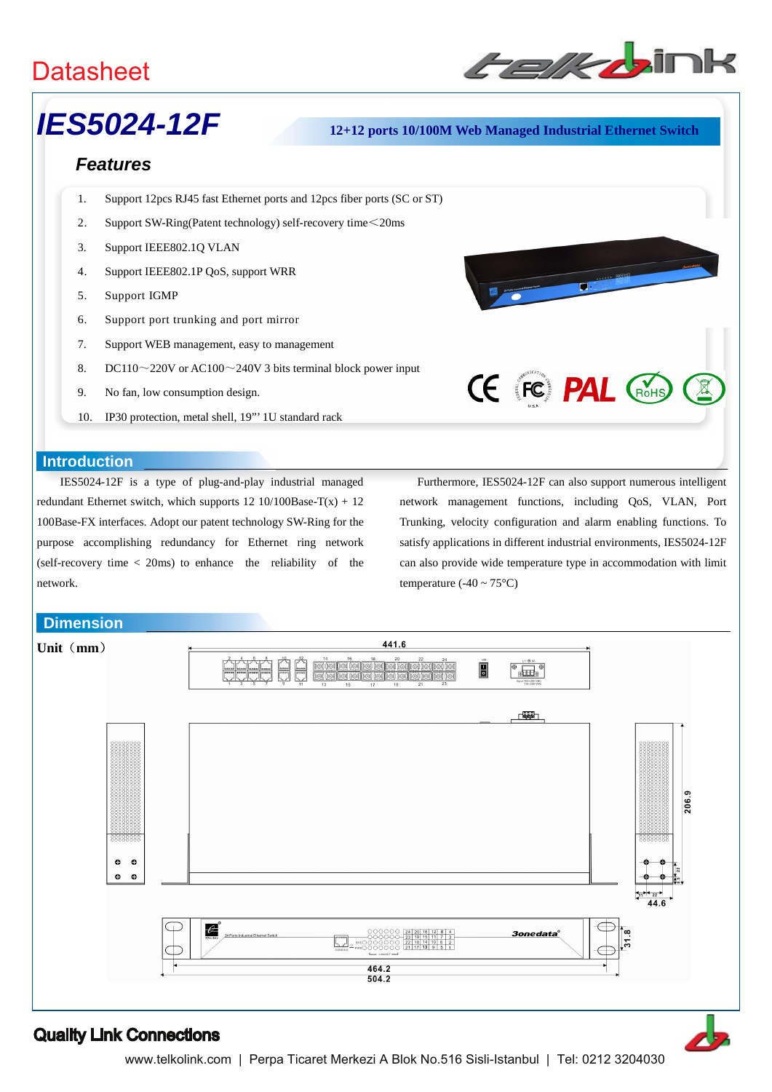

# *IES5024-12F* **12+12 ports 10/100M Web Managed Industrial Ethernet Switch**

# *Features*

- 1. Support 12pcs RJ45 fast Ethernet ports and 12pcs fiber ports (SC or ST)
- 2. Support SW-Ring(Patent technology) self-recovery time<20ms
- 3. Support IEEE802.1Q VLAN
- 4. Support IEEE802.1P QoS, support WRR
- 5. Support IGMP
- 6. Support port trunking and port mirror
- 7. Support WEB management, easy to management
- 8. DC110 $\sim$ 220V or AC100 $\sim$ 240V 3 bits terminal block power input
- 9. No fan, low consumption design.
- 10. IP30 protection, metal shell, 19"' 1U standard rack

### **Introduction**

IES5024-12F is a type of plug-and-play industrial managed redundant Ethernet switch, which supports  $12 \frac{10}{100\text{Base-T(x)}} + 12$ 100Base-FX interfaces. Adopt our patent technology SW-Ring for the purpose accomplishing redundancy for Ethernet ring network (self-recovery time < 20ms) to enhance the reliability of the network.

**Dimension**



**CE FC PAL GOHS** 



## Quality Link Connections